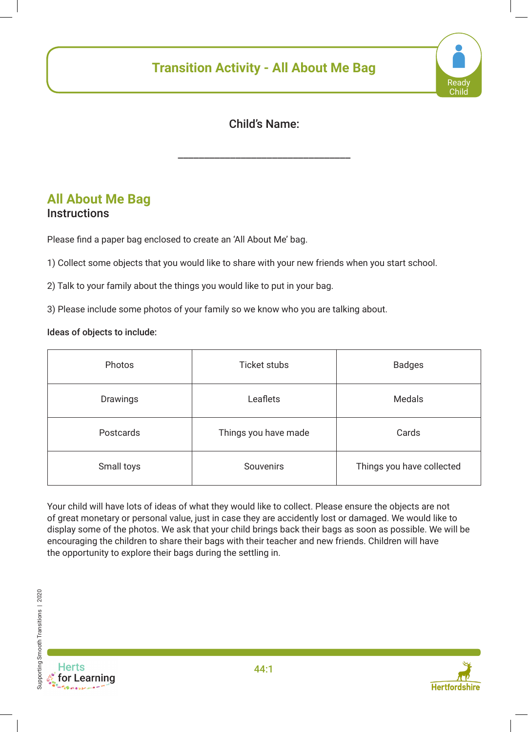# **Transition Activity - All About Me Bag**



### Child's Name:

\_\_\_\_\_\_\_\_\_\_\_\_\_\_\_\_\_\_\_\_\_\_\_\_\_\_\_\_\_\_\_\_\_

### **All About Me Bag Instructions**

Please find a paper bag enclosed to create an 'All About Me' bag.

1) Collect some objects that you would like to share with your new friends when you start school.

2) Talk to your family about the things you would like to put in your bag.

3) Please include some photos of your family so we know who you are talking about.

#### Ideas of objects to include:

| Photos           | <b>Ticket stubs</b>  | <b>Badges</b>             |
|------------------|----------------------|---------------------------|
| Drawings         | Leaflets             | <b>Medals</b>             |
| <b>Postcards</b> | Things you have made | Cards                     |
| Small toys       | Souvenirs            | Things you have collected |

Your child will have lots of ideas of what they would like to collect. Please ensure the objects are not of great monetary or personal value, just in case they are accidently lost or damaged. We would like to display some of the photos. We ask that your child brings back their bags as soon as possible. We will be encouraging the children to share their bags with their teacher and new friends. Children will have the opportunity to explore their bags during the settling in.



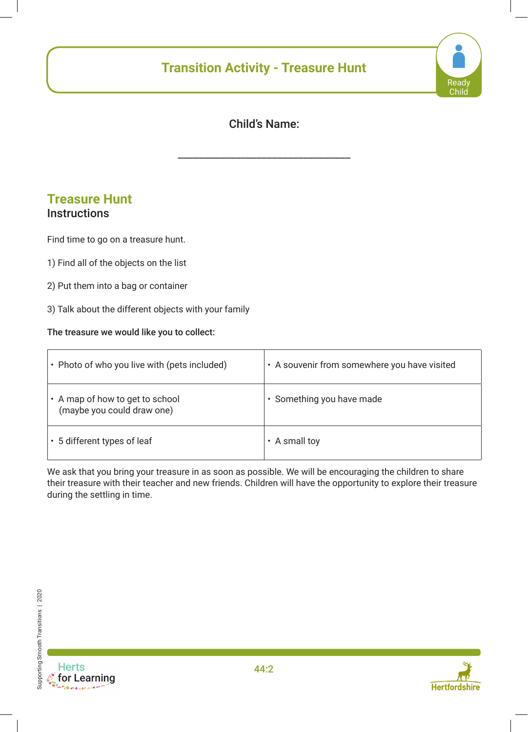## **Transition Activity - Treasure Hunt**



## Child's Name:

\_\_\_\_\_\_\_\_\_\_\_\_\_\_\_\_\_\_\_\_\_\_\_\_\_\_\_\_\_\_\_\_\_

### **Treasure Hunt Instructions**

# Find time to go on a treasure hunt.

- 1) Find all of the objects on the list
- 2) Put them into a bag or container
- 3) Talk about the different objects with your family

#### The treasure we would like you to collect:

| • Photo of who you live with (pets included)                  | • A souvenir from somewhere you have visited |
|---------------------------------------------------------------|----------------------------------------------|
| • A map of how to get to school<br>(maybe you could draw one) | · Something you have made                    |
| • 5 different types of leaf                                   | A small toy                                  |

We ask that you bring your treasure in as soon as possible. We will be encouraging the children to share their treasure with their teacher and new friends. Children will have the opportunity to explore their treasure during the settling in time.